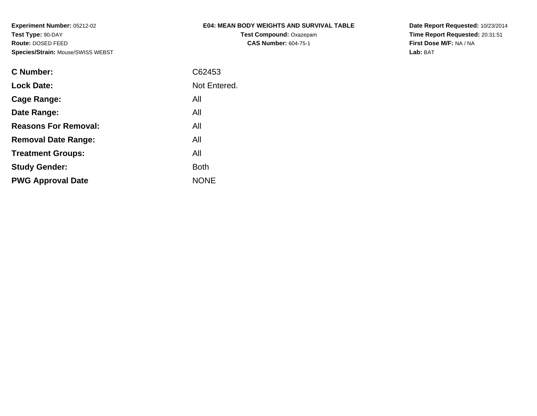### **E04: MEAN BODY WEIGHTS AND SURVIVAL TABLE**

**Test Compound:** Oxazepam**CAS Number:** 604-75-1

**Date Report Requested:** 10/23/2014**Time Report Requested:** 20:31:51**First Dose M/F:** NA / NA**Lab:** BAT

| C Number:                   | C62453       |
|-----------------------------|--------------|
| <b>Lock Date:</b>           | Not Entered. |
| Cage Range:                 | All          |
| Date Range:                 | All          |
| <b>Reasons For Removal:</b> | All          |
| <b>Removal Date Range:</b>  | All          |
| <b>Treatment Groups:</b>    | All          |
| <b>Study Gender:</b>        | <b>Both</b>  |
| <b>PWG Approval Date</b>    | <b>NONE</b>  |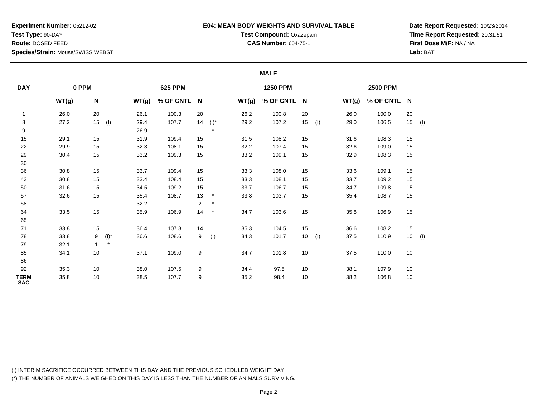## **E04: MEAN BODY WEIGHTS AND SURVIVAL TABLE**

**Test Compound:** Oxazepam**CAS Number:** 604-75-1

**Date Report Requested:** 10/23/2014**Time Report Requested:** 20:31:51**First Dose M/F:** NA / NA**Lab:** BAT

### **MALE**

| <b>DAY</b>                | 0 PPM |                           |         |       | <b>625 PPM</b> |                |         |       | <b>1250 PPM</b> |                 |     |       | <b>2500 PPM</b> |    |          |
|---------------------------|-------|---------------------------|---------|-------|----------------|----------------|---------|-------|-----------------|-----------------|-----|-------|-----------------|----|----------|
|                           | WT(g) | $\boldsymbol{\mathsf{N}}$ |         | WT(g) | % OF CNTL N    |                |         | WT(g) | % OF CNTL N     |                 |     | WT(g) | % OF CNTL N     |    |          |
| $\mathbf{1}$              | 26.0  | 20                        |         | 26.1  | 100.3          | 20             |         | 26.2  | 100.8           | 20              |     | 26.0  | 100.0           | 20 |          |
| 8                         | 27.2  | $15$ (l)                  |         | 29.4  | 107.7          | 14             | $(I)^*$ | 29.2  | 107.2           | 15 <sub>1</sub> | (1) | 29.0  | 106.5           |    | $15$ (I) |
| 9                         |       |                           |         | 26.9  |                |                | $\star$ |       |                 |                 |     |       |                 |    |          |
| $15\,$                    | 29.1  | 15                        |         | 31.9  | 109.4          | 15             |         | 31.5  | 108.2           | 15              |     | 31.6  | 108.3           | 15 |          |
| 22                        | 29.9  | 15                        |         | 32.3  | 108.1          | 15             |         | 32.2  | 107.4           | 15              |     | 32.6  | 109.0           | 15 |          |
| 29                        | 30.4  | 15                        |         | 33.2  | 109.3          | 15             |         | 33.2  | 109.1           | 15              |     | 32.9  | 108.3           | 15 |          |
| 30                        |       |                           |         |       |                |                |         |       |                 |                 |     |       |                 |    |          |
| 36                        | 30.8  | 15                        |         | 33.7  | 109.4          | 15             |         | 33.3  | 108.0           | 15              |     | 33.6  | 109.1           | 15 |          |
| 43                        | 30.8  | 15                        |         | 33.4  | 108.4          | 15             |         | 33.3  | 108.1           | 15              |     | 33.7  | 109.2           | 15 |          |
| 50                        | 31.6  | 15                        |         | 34.5  | 109.2          | 15             |         | 33.7  | 106.7           | 15              |     | 34.7  | 109.8           | 15 |          |
| 57                        | 32.6  | 15                        |         | 35.4  | 108.7          | 13             | $\star$ | 33.8  | 103.7           | 15              |     | 35.4  | 108.7           | 15 |          |
| 58                        |       |                           |         | 32.2  |                | $\overline{2}$ | $\star$ |       |                 |                 |     |       |                 |    |          |
| 64                        | 33.5  | 15                        |         | 35.9  | 106.9          | 14             | $\star$ | 34.7  | 103.6           | 15              |     | 35.8  | 106.9           | 15 |          |
| 65                        |       |                           |         |       |                |                |         |       |                 |                 |     |       |                 |    |          |
| $71$                      | 33.8  | 15                        |         | 36.4  | 107.8          | 14             |         | 35.3  | 104.5           | 15              |     | 36.6  | 108.2           | 15 |          |
| 78                        | 33.8  | 9                         | $(I)^*$ | 36.6  | 108.6          | 9              | (1)     | 34.3  | 101.7           | 10 <sup>°</sup> | (1) | 37.5  | 110.9           |    | $10$ (l) |
| 79                        | 32.1  | $\mathbf{1}$              | $\star$ |       |                |                |         |       |                 |                 |     |       |                 |    |          |
| 85                        | 34.1  | 10                        |         | 37.1  | 109.0          | 9              |         | 34.7  | 101.8           | 10              |     | 37.5  | 110.0           | 10 |          |
| 86                        |       |                           |         |       |                |                |         |       |                 |                 |     |       |                 |    |          |
| 92                        | 35.3  | 10                        |         | 38.0  | 107.5          | 9              |         | 34.4  | 97.5            | 10              |     | 38.1  | 107.9           | 10 |          |
| <b>TERM</b><br><b>SAC</b> | 35.8  | 10                        |         | 38.5  | 107.7          | 9              |         | 35.2  | 98.4            | 10              |     | 38.2  | 106.8           | 10 |          |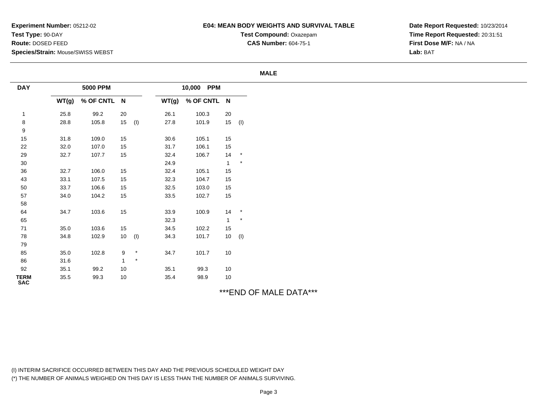### **E04: MEAN BODY WEIGHTS AND SURVIVAL TABLE**

**Test Compound:** Oxazepam**CAS Number:** 604-75-1

**Date Report Requested:** 10/23/2014**Time Report Requested:** 20:31:51**First Dose M/F:** NA / NA**Lab:** BAT

#### **MALE**

| <b>DAY</b>                |       | <b>5000 PPM</b> |                 |          |       | 10,000 PPM  |                |                  |
|---------------------------|-------|-----------------|-----------------|----------|-------|-------------|----------------|------------------|
|                           | WT(g) | % OF CNTL N     |                 |          | WT(g) | % OF CNTL N |                |                  |
| $\overline{1}$            | 25.8  | 99.2            | 20              |          | 26.1  | 100.3       | 20             |                  |
| $\bf8$                    | 28.8  | 105.8           | 15              | (1)      | 27.8  | 101.9       |                | $15$ (I)         |
| $\boldsymbol{9}$          |       |                 |                 |          |       |             |                |                  |
| 15                        | 31.8  | 109.0           | 15              |          | 30.6  | 105.1       | 15             |                  |
| 22                        | 32.0  | 107.0           | 15              |          | 31.7  | 106.1       | 15             |                  |
| 29                        | 32.7  | 107.7           | 15              |          | 32.4  | 106.7       | 14             | $\mathcal{A}$    |
| 30 <sub>o</sub>           |       |                 |                 |          | 24.9  |             | $\mathbf{1}$   | $\quad \, \star$ |
| 36                        | 32.7  | 106.0           | 15              |          | 32.4  | 105.1       | 15             |                  |
| 43                        | 33.1  | 107.5           | 15              |          | 32.3  | 104.7       | 15             |                  |
| 50                        | 33.7  | 106.6           | 15              |          | 32.5  | 103.0       | 15             |                  |
| 57                        | 34.0  | 104.2           | 15              |          | 33.5  | 102.7       | 15             |                  |
| 58                        |       |                 |                 |          |       |             |                |                  |
| 64                        | 34.7  | 103.6           | 15              |          | 33.9  | 100.9       | 14             | $\star$          |
| 65                        |       |                 |                 |          | 32.3  |             | $\overline{1}$ | $\star$          |
| 71                        | 35.0  | 103.6           | 15              |          | 34.5  | 102.2       | 15             |                  |
| 78                        | 34.8  | 102.9           | 10 <sup>1</sup> | (1)      | 34.3  | 101.7       |                | $10$ (l)         |
| 79                        |       |                 |                 |          |       |             |                |                  |
| 85                        | 35.0  | 102.8           | 9               | $^\star$ | 34.7  | 101.7       | 10             |                  |
| 86                        | 31.6  |                 | $\mathbf{1}$    | $\star$  |       |             |                |                  |
| 92                        | 35.1  | 99.2            | 10              |          | 35.1  | 99.3        | 10             |                  |
| <b>TERM</b><br><b>SAC</b> | 35.5  | 99.3            | 10              |          | 35.4  | 98.9        | 10             |                  |

# \*\*\*END OF MALE DATA\*\*\*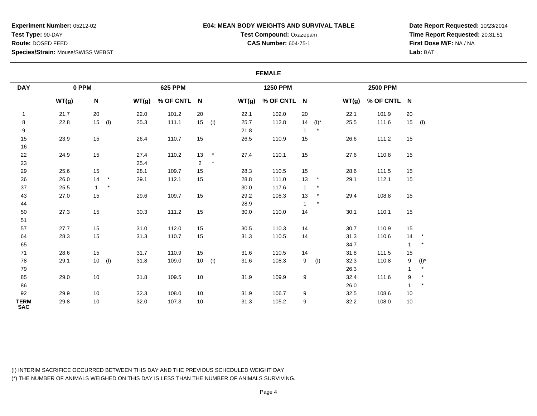## **E04: MEAN BODY WEIGHTS AND SURVIVAL TABLE**

**Test Compound:** Oxazepam**CAS Number:** 604-75-1

**Date Report Requested:** 10/23/2014**Time Report Requested:** 20:31:51**First Dose M/F:** NA / NA**Lab:** BAT

#### **FEMALE**

| <b>DAY</b>                | 0 PPM |                           |         |       | <b>625 PPM</b> |                |          |       | <b>1250 PPM</b> |              |         |       | <b>2500 PPM</b> |              |          |
|---------------------------|-------|---------------------------|---------|-------|----------------|----------------|----------|-------|-----------------|--------------|---------|-------|-----------------|--------------|----------|
|                           | WT(g) | $\boldsymbol{\mathsf{N}}$ |         | WT(g) | % OF CNTL N    |                |          | WT(g) | % OF CNTL N     |              |         | WT(g) | % OF CNTL N     |              |          |
| 1                         | 21.7  | 20                        |         | 22.0  | 101.2          | 20             |          | 22.1  | 102.0           | 20           |         | 22.1  | 101.9           | 20           |          |
| $\bf 8$                   | 22.8  | $15$ (l)                  |         | 25.3  | 111.1          |                | $15$ (I) | 25.7  | 112.8           | 14           | $(I)^*$ | 25.5  | 111.6           |              | $15$ (I) |
| 9                         |       |                           |         |       |                |                |          | 21.8  |                 |              | $\star$ |       |                 |              |          |
| 15                        | 23.9  | 15                        |         | 26.4  | 110.7          | 15             |          | 26.5  | 110.9           | 15           |         | 26.6  | 111.2           | 15           |          |
| 16                        |       |                           |         |       |                |                |          |       |                 |              |         |       |                 |              |          |
| 22                        | 24.9  | 15                        |         | 27.4  | 110.2          | 13             | $\star$  | 27.4  | 110.1           | 15           |         | 27.6  | 110.8           | 15           |          |
| 23                        |       |                           |         | 25.4  |                | $\overline{2}$ | $\star$  |       |                 |              |         |       |                 |              |          |
| 29                        | 25.6  | 15                        |         | 28.1  | 109.7          | 15             |          | 28.3  | 110.5           | 15           |         | 28.6  | 111.5           | 15           |          |
| $36\,$                    | 26.0  | 14                        | $\star$ | 29.1  | 112.1          | 15             |          | 28.8  | 111.0           | 13           | $\star$ | 29.1  | 112.1           | 15           |          |
| 37                        | 25.5  | $\mathbf{1}$              | $\star$ |       |                |                |          | 30.0  | 117.6           | $\mathbf{1}$ | $\star$ |       |                 |              |          |
| 43                        | 27.0  | 15                        |         | 29.6  | 109.7          | 15             |          | 29.2  | 108.3           | 13           | $\star$ | 29.4  | 108.8           | 15           |          |
| 44                        |       |                           |         |       |                |                |          | 28.9  |                 |              | $\star$ |       |                 |              |          |
| 50                        | 27.3  | 15                        |         | 30.3  | 111.2          | 15             |          | 30.0  | 110.0           | 14           |         | 30.1  | 110.1           | 15           |          |
| 51                        |       |                           |         |       |                |                |          |       |                 |              |         |       |                 |              |          |
| 57                        | 27.7  | 15                        |         | 31.0  | 112.0          | 15             |          | 30.5  | 110.3           | 14           |         | 30.7  | 110.9           | 15           |          |
| 64                        | 28.3  | 15                        |         | 31.3  | 110.7          | 15             |          | 31.3  | 110.5           | 14           |         | 31.3  | 110.6           | 14           | $\star$  |
| 65                        |       |                           |         |       |                |                |          |       |                 |              |         | 34.7  |                 | $\mathbf{1}$ | $\star$  |
| 71                        | 28.6  | 15                        |         | 31.7  | 110.9          | 15             |          | 31.6  | 110.5           | 14           |         | 31.8  | 111.5           | 15           |          |
| 78                        | 29.1  | $10$ (l)                  |         | 31.8  | 109.0          |                | $10$ (I) | 31.6  | 108.3           | 9            | (1)     | 32.3  | 110.8           | 9            | $(I)^*$  |
| 79                        |       |                           |         |       |                |                |          |       |                 |              |         | 26.3  |                 | $\mathbf{1}$ | $\star$  |
| 85                        | 29.0  | 10                        |         | 31.8  | 109.5          | 10             |          | 31.9  | 109.9           | 9            |         | 32.4  | 111.6           | 9            | $\star$  |
| 86                        |       |                           |         |       |                |                |          |       |                 |              |         | 26.0  |                 | $\mathbf 1$  | $\star$  |
| 92                        | 29.9  | 10                        |         | 32.3  | 108.0          | 10             |          | 31.9  | 106.7           | 9            |         | 32.5  | 108.6           | 10           |          |
| <b>TERM</b><br><b>SAC</b> | 29.8  | 10                        |         | 32.0  | 107.3          | 10             |          | 31.3  | 105.2           | 9            |         | 32.2  | 108.0           | 10           |          |